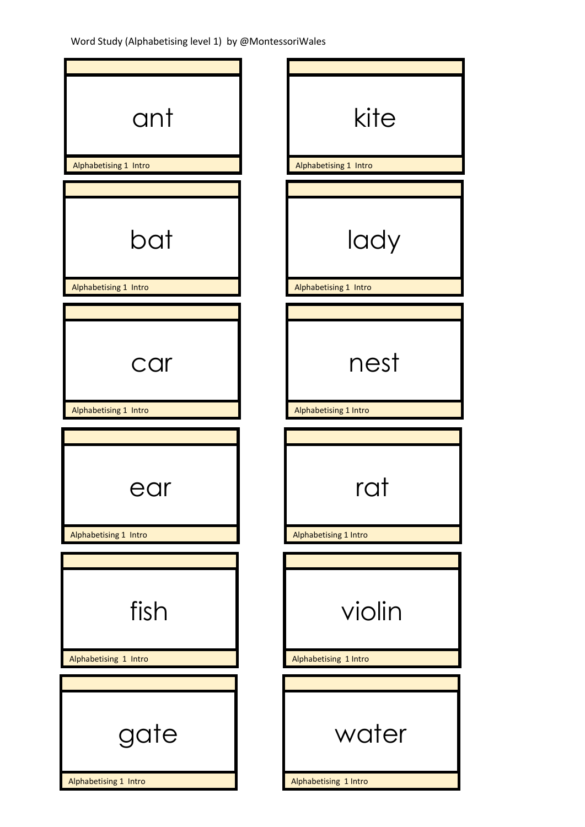| ant                           | kite                            |
|-------------------------------|---------------------------------|
| Alphabetising 1 Intro         | Alphabetising 1 Intro           |
|                               |                                 |
| bat                           | lady                            |
| Alphabetising 1 Intro         | Alphabetising 1 Intro           |
|                               |                                 |
| car                           | nest                            |
| Alphabetising 1 Intro         | Alphabetising 1 Intro           |
|                               |                                 |
| ear                           | rat                             |
| Alphabetising 1 Intro         | Alphabetising 1 Intro           |
|                               |                                 |
| fish<br>Alphabetising 1 Intro | violin<br>Alphabetising 1 Intro |
|                               |                                 |
| gate<br>Alphabetising 1 Intro | water<br>Alphabetising 1 Intro  |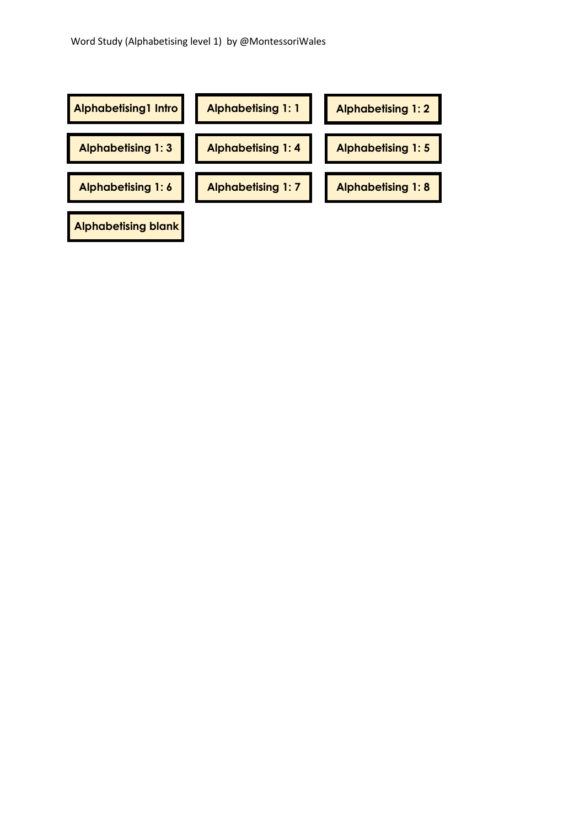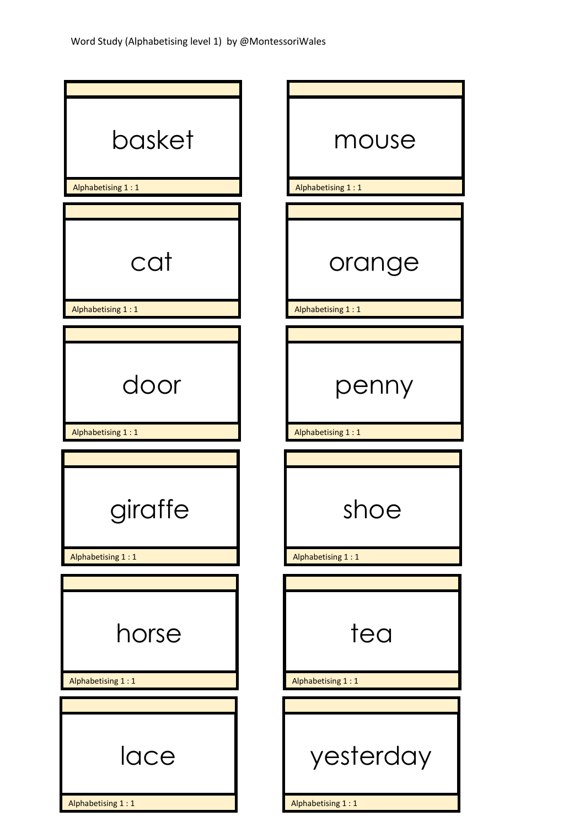| basket<br>Alphabetising 1:1  | mouse<br>Alphabetising 1:1     |
|------------------------------|--------------------------------|
|                              |                                |
| cat<br>Alphabetising 1:1     | orange<br>Alphabetising 1:1    |
|                              |                                |
| door<br>Alphabetising 1:1    | penny<br>Alphabetising 1:1     |
|                              |                                |
| giraffe<br>Alphabetising 1:1 | shoe<br>Alphabetising 1:1      |
|                              |                                |
| horse                        | tea                            |
| Alphabetising 1:1            | Alphabetising 1:1              |
|                              |                                |
| lace<br>Alphabetising 1:1    | yesterday<br>Alphabetising 1:1 |
|                              |                                |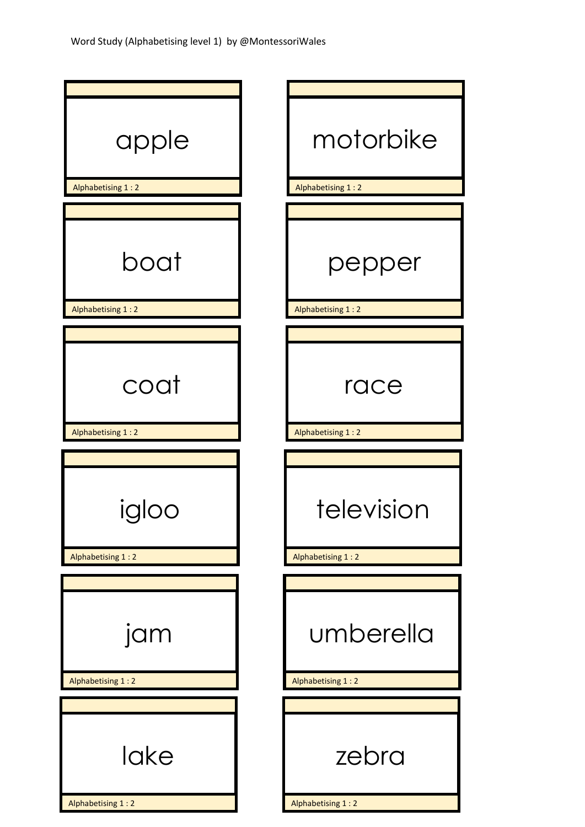| apple<br>Alphabetising 1:2 | motorbike<br>Alphabetising 1:2  |
|----------------------------|---------------------------------|
|                            |                                 |
| boat<br>Alphabetising 1:2  | pepper<br>Alphabetising 1:2     |
|                            |                                 |
| coat                       | race                            |
| Alphabetising 1:2          | Alphabetising 1:2               |
| gloo<br>Alphabetising 1:2  | television<br>Alphabetising 1:2 |
| jam<br>Alphabetising 1:2   | umberella<br>Alphabetising 1:2  |
|                            |                                 |
| lake<br>Alphabetising 1:2  | zebra<br>Alphabetising 1:2      |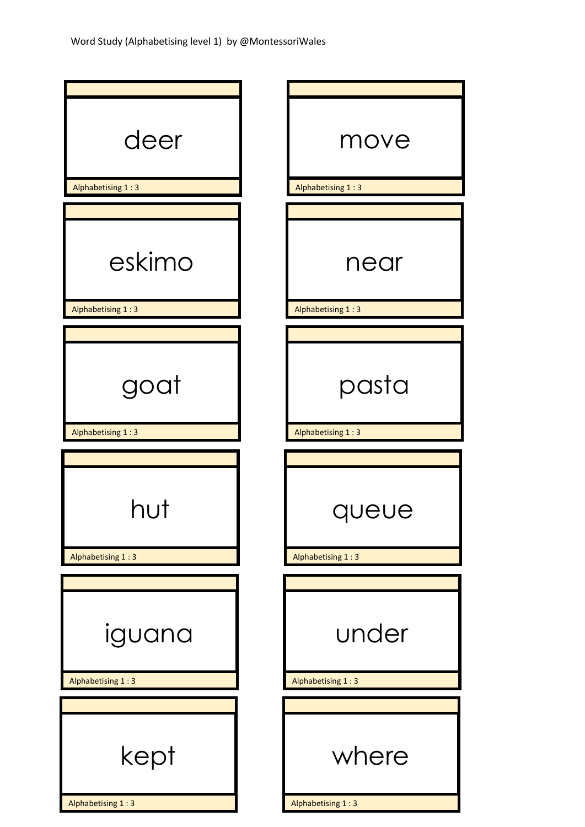| deer<br>Alphabetising 1:3   | move<br>Alphabetising 1:3  |
|-----------------------------|----------------------------|
|                             |                            |
| eskimo<br>Alphabetising 1:3 | near<br>Alphabetising 1:3  |
|                             |                            |
| goat                        | pasta                      |
| Alphabetising 1:3           | Alphabetising 1:3          |
| Alphabetising 1:3           | queue<br>Alphabetising 1:3 |
|                             |                            |
| iguana                      | under                      |
| Alphabetising 1:3           | Alphabetising 1:3          |
|                             |                            |
| kept                        | where                      |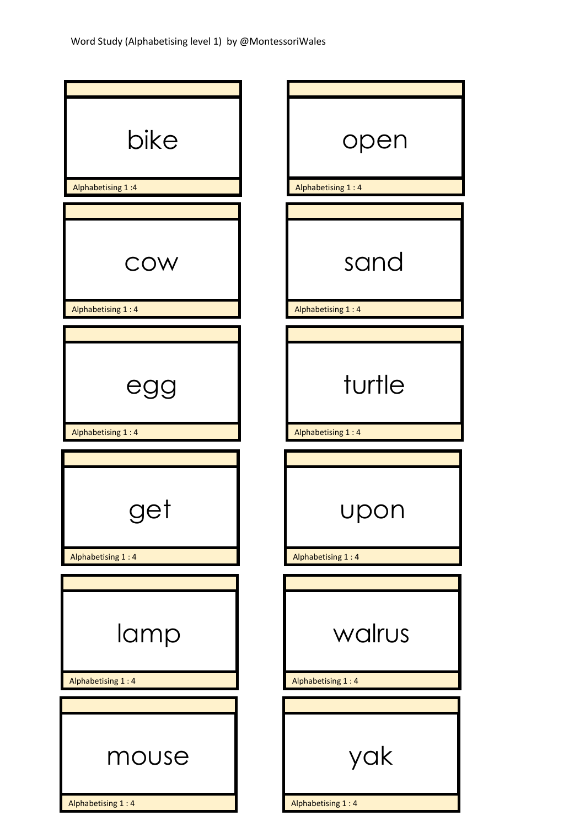| bike                     | open                     |
|--------------------------|--------------------------|
| Alphabetising 1:4        | Alphabetising 1:4        |
|                          |                          |
| COW                      | sand                     |
| Alphabetising 1:4        | Alphabetising 1:4        |
|                          |                          |
| egg                      | turtle                   |
| Alphabetising 1:4        | Alphabetising 1:4        |
|                          |                          |
| de.<br>Alphabetising 1:4 | upo<br>Alphabetising 1:4 |
|                          |                          |
|                          |                          |
| lamp                     | walrus                   |
| Alphabetising 1:4        | Alphabetising 1:4        |
|                          |                          |
| mouse                    | yak                      |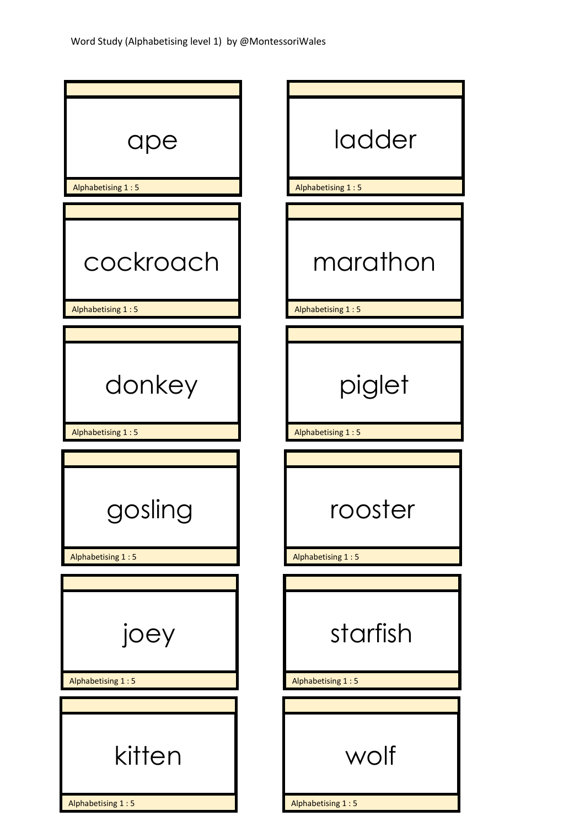| ladder<br>Alphabetising 1:5      |
|----------------------------------|
|                                  |
| marathon<br>Alphabetising 1:5    |
|                                  |
| piglet<br>Alphabetising 1:5      |
|                                  |
| ter<br>roos<br>Alphabetising 1:5 |
|                                  |
| starfish                         |
| Alphabetising 1:5                |
| wolf<br>Alphabetising 1:5        |
|                                  |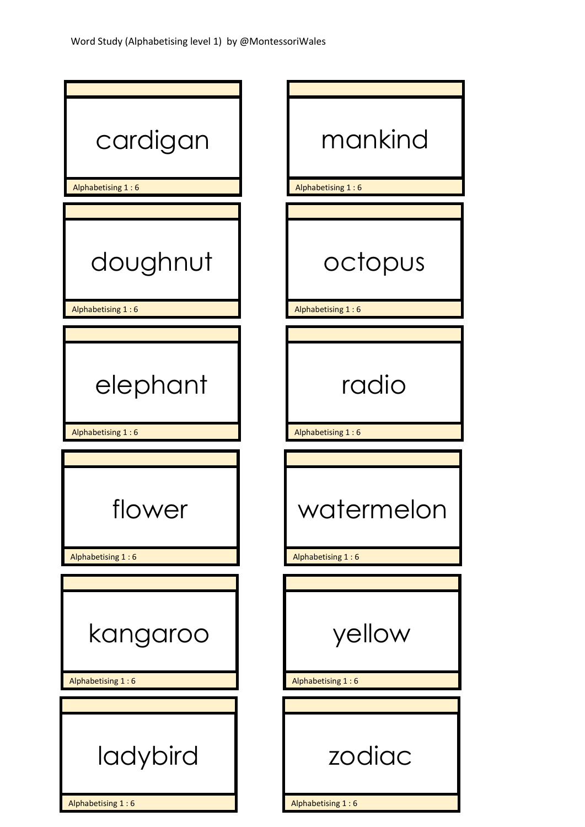| cardigan<br>Alphabetising 1:6 | mankind<br>Alphabetising 1:6 |
|-------------------------------|------------------------------|
|                               |                              |
| doughnut<br>Alphabetising 1:6 | octopus<br>Alphabetising 1:6 |
|                               |                              |
| elephant                      | radio                        |
| Alphabetising 1:6             | Alphabetising 1:6            |
|                               |                              |
| /er<br>Alphabetising 1:6      | terme<br>Alphabetising 1:6   |
|                               |                              |
| kangaroo                      | yellow                       |
| Alphabetising 1:6             | Alphabetising 1:6            |
| ladybird                      | zodiac                       |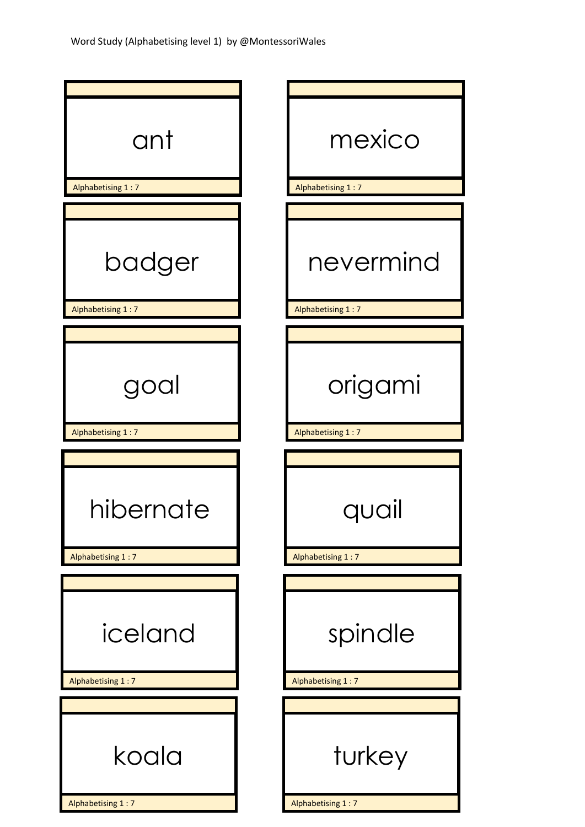| ant                            | mexico                         |
|--------------------------------|--------------------------------|
| Alphabetising 1:7              | Alphabetising 1:7              |
|                                |                                |
| badger<br>Alphabetising 1:7    | nevermind<br>Alphabetising 1:7 |
|                                |                                |
|                                |                                |
| goal                           | origami                        |
| Alphabetising 1:7              | Alphabetising 1:7              |
|                                |                                |
| hibernate<br>Alphabetising 1:7 | quc<br>Alphabetising 1:7       |
|                                |                                |
| iceland                        | spindle                        |
| Alphabetising 1:7              | Alphabetising 1:7              |
|                                |                                |
|                                |                                |
| koala                          | turkey<br>Alphabetising 1:7    |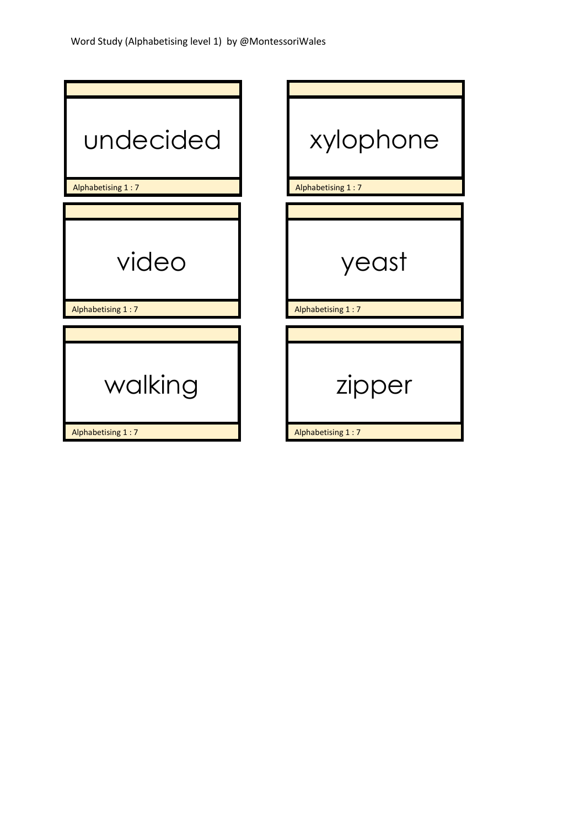| undecided         | xylophone         |
|-------------------|-------------------|
| Alphabetising 1:7 | Alphabetising 1:7 |
|                   |                   |
| video             | yeast             |
| Alphabetising 1:7 | Alphabetising 1:7 |
|                   |                   |
| walking           | zipper            |
| Alphabetising 1:7 | Alphabetising 1:7 |